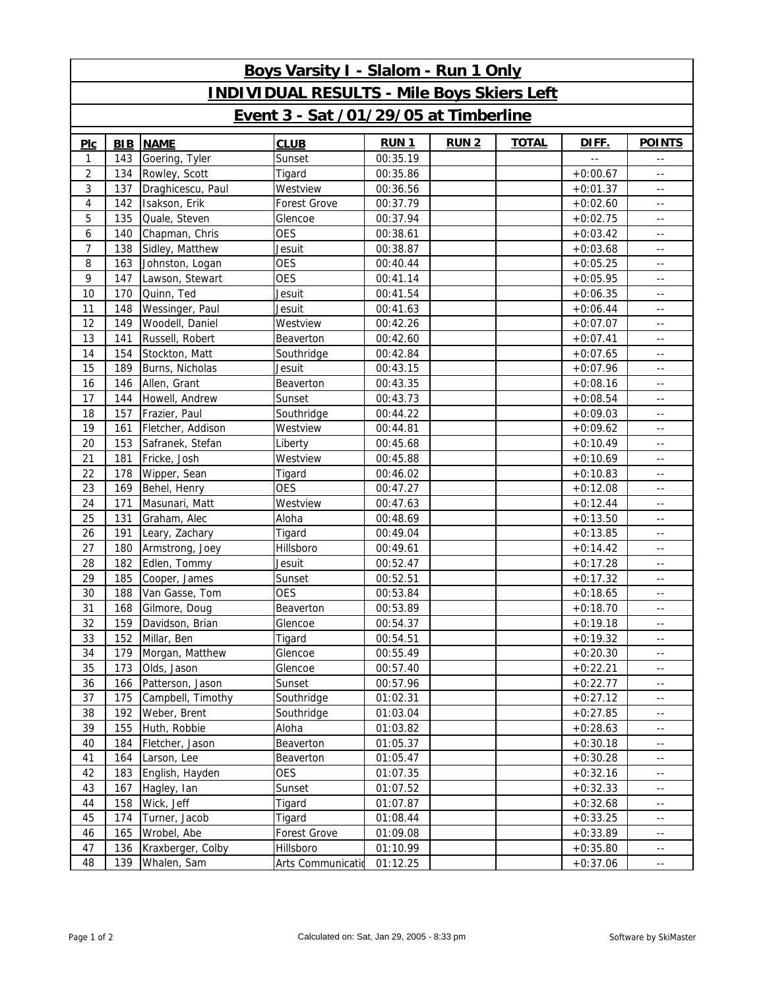| Boys Varsity I - Slalom - Run 1 Only              |            |                   |                   |             |              |              |                |                                               |  |  |  |  |
|---------------------------------------------------|------------|-------------------|-------------------|-------------|--------------|--------------|----------------|-----------------------------------------------|--|--|--|--|
| <b>INDIVIDUAL RESULTS - Mile Boys Skiers Left</b> |            |                   |                   |             |              |              |                |                                               |  |  |  |  |
| Event 3 - Sat /01/29/05 at Timberline             |            |                   |                   |             |              |              |                |                                               |  |  |  |  |
| PLC                                               | <b>BIB</b> | <b>NAME</b>       | <b>CLUB</b>       | <b>RUN1</b> | <b>RUN 2</b> | <b>TOTAL</b> | DIFF.          | <b>POINTS</b>                                 |  |  |  |  |
| 1                                                 | 143        | Goering, Tyler    | Sunset            | 00:35.19    |              |              | $\overline{a}$ | $\overline{\phantom{m}}$ .                    |  |  |  |  |
| 2                                                 | 134        | Rowley, Scott     | Tigard            | 00:35.86    |              |              | $+0:00.67$     | $\sim$ $\sim$                                 |  |  |  |  |
| 3                                                 | 137        | Draghicescu, Paul | Westview          | 00:36.56    |              |              | $+0:01.37$     | $\sim$ $\sim$                                 |  |  |  |  |
| 4                                                 | 142        | Isakson, Erik     | Forest Grove      | 00:37.79    |              |              | $+0:02.60$     | $\sim$ $\sim$                                 |  |  |  |  |
| 5                                                 | 135        | Quale, Steven     | Glencoe           | 00:37.94    |              |              | $+0:02.75$     | $\sim$ $\sim$                                 |  |  |  |  |
| 6                                                 | 140        | Chapman, Chris    | <b>OES</b>        | 00:38.61    |              |              | $+0:03.42$     | $\sim$ $\sim$                                 |  |  |  |  |
| 7                                                 | 138        | Sidley, Matthew   | Jesuit            | 00:38.87    |              |              | $+0:03.68$     | $\sim$ $\sim$                                 |  |  |  |  |
| 8                                                 | 163        | Johnston, Logan   | <b>OES</b>        | 00:40.44    |              |              | $+0:05.25$     | $\sim$ $\sim$                                 |  |  |  |  |
| 9                                                 | 147        | Lawson, Stewart   | <b>OES</b>        | 00:41.14    |              |              | $+0:05.95$     | $\sim$ $-$                                    |  |  |  |  |
| 10                                                | 170        | Quinn, Ted        | Jesuit            | 00:41.54    |              |              | $+0:06.35$     | $\sim$ $\sim$                                 |  |  |  |  |
| 11                                                | 148        | Wessinger, Paul   | Jesuit            | 00:41.63    |              |              | $+0:06.44$     | $\sim$ $-$                                    |  |  |  |  |
| 12                                                | 149        | Woodell, Daniel   | Westview          | 00:42.26    |              |              | $+0:07.07$     | $\sim$ $\sim$                                 |  |  |  |  |
| 13                                                | 141        | Russell, Robert   | Beaverton         | 00:42.60    |              |              | $+0:07.41$     | $\sim$ $-$                                    |  |  |  |  |
| 14                                                | 154        | Stockton, Matt    | Southridge        | 00:42.84    |              |              | $+0:07.65$     | $\sim$ $\sim$                                 |  |  |  |  |
| 15                                                | 189        | Burns, Nicholas   | Jesuit            | 00:43.15    |              |              | $+0:07.96$     | $\sim$ $-$                                    |  |  |  |  |
| 16                                                | 146        | Allen, Grant      | Beaverton         | 00:43.35    |              |              | $+0:08.16$     | $\sim$ $\sim$                                 |  |  |  |  |
| 17                                                | 144        | Howell, Andrew    | Sunset            | 00:43.73    |              |              | $+0:08.54$     | $\sim$ $-$                                    |  |  |  |  |
| 18                                                | 157        | Frazier, Paul     | Southridge        | 00:44.22    |              |              | $+0:09.03$     | $\sim$ $\sim$                                 |  |  |  |  |
| 19                                                | 161        | Fletcher, Addison | Westview          | 00:44.81    |              |              | $+0:09.62$     | $\sim$ $-$                                    |  |  |  |  |
| 20                                                | 153        | Safranek, Stefan  | Liberty           | 00:45.68    |              |              | $+0:10.49$     | $\sim$ $\sim$                                 |  |  |  |  |
| 21                                                | 181        | Fricke, Josh      | Westview          | 00:45.88    |              |              | $+0:10.69$     | $\sim$ $-$                                    |  |  |  |  |
| 22                                                | 178        | Wipper, Sean      | Tigard            | 00:46.02    |              |              | $+0:10.83$     | $\sim$ $\sim$                                 |  |  |  |  |
| 23                                                | 169        | Behel, Henry      | <b>OES</b>        | 00:47.27    |              |              | $+0:12.08$     | $\sim$ $-$                                    |  |  |  |  |
| 24                                                | 171        | Masunari, Matt    | Westview          | 00:47.63    |              |              | $+0:12.44$     | $\sim$ $\sim$                                 |  |  |  |  |
| 25                                                | 131        | Graham, Alec      | Aloha             | 00:48.69    |              |              | $+0:13.50$     | $\sim$ $\sim$                                 |  |  |  |  |
| 26                                                | 191        | Leary, Zachary    | Tigard            | 00:49.04    |              |              | $+0:13.85$     | $\sim$ $\sim$                                 |  |  |  |  |
| 27                                                | 180        | Armstrong, Joey   | Hillsboro         | 00:49.61    |              |              | $+0:14.42$     | $\sim$ $-$                                    |  |  |  |  |
| 28                                                | 182        | Edlen, Tommy      | Jesuit            | 00:52.47    |              |              | $+0:17.28$     | $\sim$ $\sim$                                 |  |  |  |  |
| 29                                                | 185        | Cooper, James     | Sunset            | 00:52.51    |              |              | $+0:17.32$     | $\sim$ $\sim$                                 |  |  |  |  |
| 30                                                | 188        | Van Gasse, Tom    | <b>OES</b>        | 00:53.84    |              |              | $+0:18.65$     | $\sim$ $\sim$                                 |  |  |  |  |
| 31                                                | 168        | Gilmore, Doug     | Beaverton         | 00:53.89    |              |              | $+0:18.70$     | $\sim$ $-$                                    |  |  |  |  |
| 32                                                | 159        | Davidson, Brian   | Glencoe           | 00:54.37    |              |              | $+0:19.18$     | $\sim$ $\sim$                                 |  |  |  |  |
| 33                                                | 152        | Millar, Ben       | Tigard            | 00:54.51    |              |              | $+0:19.32$     | $\sim$ $-$                                    |  |  |  |  |
| 34                                                | 179        | Morgan, Matthew   | Glencoe           | 00:55.49    |              |              | $+0:20.30$     | $\sim$ $\sim$                                 |  |  |  |  |
| 35                                                | 173        | Olds, Jason       | Glencoe           | 00:57.40    |              |              | $+0:22.21$     | $\sim$ $\sim$                                 |  |  |  |  |
| 36                                                | 166        | Patterson, Jason  | Sunset            | 00:57.96    |              |              | $+0:22.77$     | $\sim$ $-$                                    |  |  |  |  |
| 37                                                | 175        | Campbell, Timothy | Southridge        | 01:02.31    |              |              | $+0:27.12$     | $\sim$ $-$                                    |  |  |  |  |
| 38                                                | 192        | Weber, Brent      | Southridge        | 01:03.04    |              |              | $+0:27.85$     | $\sim$ $\sim$                                 |  |  |  |  |
| 39                                                | 155        | Huth, Robbie      | Aloha             | 01:03.82    |              |              | $+0:28.63$     | $\sim$ $\sim$                                 |  |  |  |  |
| 40                                                | 184        | Fletcher, Jason   | Beaverton         | 01:05.37    |              |              | $+0:30.18$     | $\sim$ $-$                                    |  |  |  |  |
| 41                                                | 164        | Larson, Lee       | Beaverton         | 01:05.47    |              |              | $+0:30.28$     | $\sim$ $-$                                    |  |  |  |  |
| 42                                                | 183        | English, Hayden   | <b>OES</b>        | 01:07.35    |              |              | $+0:32.16$     | $\sim$ $\sim$                                 |  |  |  |  |
| 43                                                | 167        | Hagley, Ian       | Sunset            | 01:07.52    |              |              | $+0:32.33$     | $\sim$ $\sim$                                 |  |  |  |  |
| 44                                                | 158        | Wick, Jeff        | Tigard            | 01:07.87    |              |              | $+0:32.68$     | $\sim$ $-$                                    |  |  |  |  |
| 45                                                | 174        | Turner, Jacob     | Tigard            | 01:08.44    |              |              | $+0:33.25$     | $\sim$ $\sim$                                 |  |  |  |  |
| 46                                                | 165        | Wrobel, Abe       | Forest Grove      | 01:09.08    |              |              | $+0:33.89$     | $\sim$ $\sim$                                 |  |  |  |  |
| 47                                                | 136        | Kraxberger, Colby | Hillsboro         | 01:10.99    |              |              | $+0.35.80$     | $\sim$ $\sim$                                 |  |  |  |  |
| 48                                                | 139        | Whalen, Sam       | Arts Communicatio | 01:12.25    |              |              | $+0:37.06$     | $\mathord{\hspace{1pt}\text{--}\hspace{1pt}}$ |  |  |  |  |